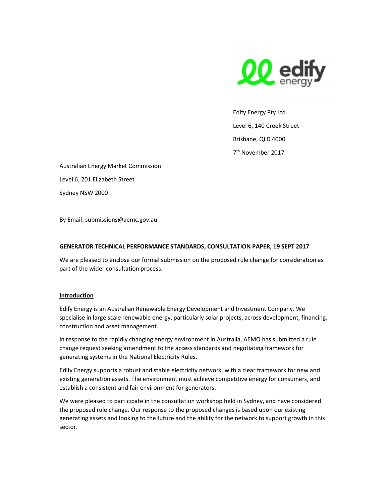

Edify Energy Pty Ltd Level 6, 140 Creek Street Brisbane, QLD 4000 7 th November 2017

Australian Energy Market Commission Level 6, 201 Elizabeth Street Sydney NSW 2000

By Email: submissions@aemc.gov.au

# GENERATOR TECHNICAL PERFORMANCE STANDARDS, CONSULTATION PAPER, 19 SEPT 2017

We are pleased to enclose our formal submission on the proposed rule change for consideration as part of the wider consultation process.

#### Introduction

Edify Energy is an Australian Renewable Energy Development and Investment Company. We specialise in large scale renewable energy, particularly solar projects, across development, financing, construction and asset management.

In response to the rapidly changing energy environment in Australia, AEMO has submitted a rule change request seeking amendment to the access standards and negotiating framework for generating systems in the National Electricity Rules.

Edify Energy supports a robust and stable electricity network, with a clear framework for new and existing generation assets. The environment must achieve competitive energy for consumers, and establish a consistent and fair environment for generators.

We were pleased to participate in the consultation workshop held in Sydney, and have considered the proposed rule change. Our response to the proposed changes is based upon our existing generating assets and looking to the future and the ability for the network to support growth in this sector.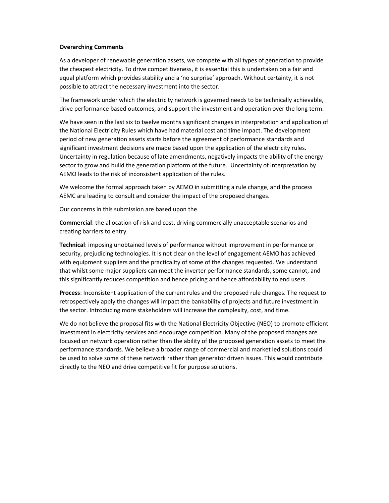#### Overarching Comments

As a developer of renewable generation assets, we compete with all types of generation to provide the cheapest electricity. To drive competitiveness, it is essential this is undertaken on a fair and equal platform which provides stability and a 'no surprise' approach. Without certainty, it is not possible to attract the necessary investment into the sector.

The framework under which the electricity network is governed needs to be technically achievable, drive performance based outcomes, and support the investment and operation over the long term.

We have seen in the last six to twelve months significant changes in interpretation and application of the National Electricity Rules which have had material cost and time impact. The development period of new generation assets starts before the agreement of performance standards and significant investment decisions are made based upon the application of the electricity rules. Uncertainty in regulation because of late amendments, negatively impacts the ability of the energy sector to grow and build the generation platform of the future. Uncertainty of interpretation by AEMO leads to the risk of inconsistent application of the rules.

We welcome the formal approach taken by AEMO in submitting a rule change, and the process AEMC are leading to consult and consider the impact of the proposed changes.

Our concerns in this submission are based upon the

Commercial: the allocation of risk and cost, driving commercially unacceptable scenarios and creating barriers to entry.

Technical: imposing unobtained levels of performance without improvement in performance or security, prejudicing technologies. It is not clear on the level of engagement AEMO has achieved with equipment suppliers and the practicality of some of the changes requested. We understand that whilst some major suppliers can meet the inverter performance standards, some cannot, and this significantly reduces competition and hence pricing and hence affordability to end users.

Process: Inconsistent application of the current rules and the proposed rule changes. The request to retrospectively apply the changes will impact the bankability of projects and future investment in the sector. Introducing more stakeholders will increase the complexity, cost, and time.

We do not believe the proposal fits with the National Electricity Objective (NEO) to promote efficient investment in electricity services and encourage competition. Many of the proposed changes are focused on network operation rather than the ability of the proposed generation assets to meet the performance standards. We believe a broader range of commercial and market led solutions could be used to solve some of these network rather than generator driven issues. This would contribute directly to the NEO and drive competitive fit for purpose solutions.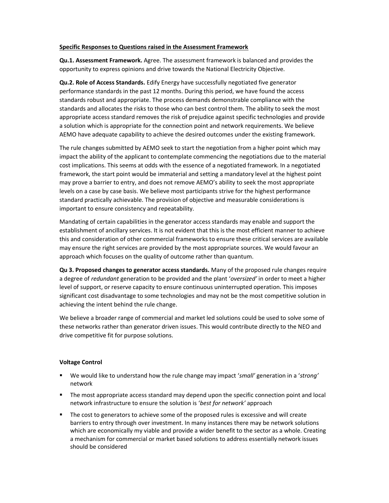#### Specific Responses to Questions raised in the Assessment Framework

Qu.1. Assessment Framework. Agree. The assessment framework is balanced and provides the opportunity to express opinions and drive towards the National Electricity Objective.

Qu.2. Role of Access Standards. Edify Energy have successfully negotiated five generator performance standards in the past 12 months. During this period, we have found the access standards robust and appropriate. The process demands demonstrable compliance with the standards and allocates the risks to those who can best control them. The ability to seek the most appropriate access standard removes the risk of prejudice against specific technologies and provide a solution which is appropriate for the connection point and network requirements. We believe AEMO have adequate capability to achieve the desired outcomes under the existing framework.

The rule changes submitted by AEMO seek to start the negotiation from a higher point which may impact the ability of the applicant to contemplate commencing the negotiations due to the material cost implications. This seems at odds with the essence of a negotiated framework. In a negotiated framework, the start point would be immaterial and setting a mandatory level at the highest point may prove a barrier to entry, and does not remove AEMO's ability to seek the most appropriate levels on a case by case basis. We believe most participants strive for the highest performance standard practically achievable. The provision of objective and measurable considerations is important to ensure consistency and repeatability.

Mandating of certain capabilities in the generator access standards may enable and support the establishment of ancillary services. It is not evident that this is the most efficient manner to achieve this and consideration of other commercial frameworks to ensure these critical services are available may ensure the right services are provided by the most appropriate sources. We would favour an approach which focuses on the quality of outcome rather than quantum.

Qu 3. Proposed changes to generator access standards. Many of the proposed rule changes require a degree of redundant generation to be provided and the plant 'oversized' in order to meet a higher level of support, or reserve capacity to ensure continuous uninterrupted operation. This imposes significant cost disadvantage to some technologies and may not be the most competitive solution in achieving the intent behind the rule change.

We believe a broader range of commercial and market led solutions could be used to solve some of these networks rather than generator driven issues. This would contribute directly to the NEO and drive competitive fit for purpose solutions.

# Voltage Control

- **We would like to understand how the rule change may impact 'small' generation in a 'strong'** network
- **The most appropriate access standard may depend upon the specific connection point and local** network infrastructure to ensure the solution is 'best for network' approach
- The cost to generators to achieve some of the proposed rules is excessive and will create barriers to entry through over investment. In many instances there may be network solutions which are economically my viable and provide a wider benefit to the sector as a whole. Creating a mechanism for commercial or market based solutions to address essentially network issues should be considered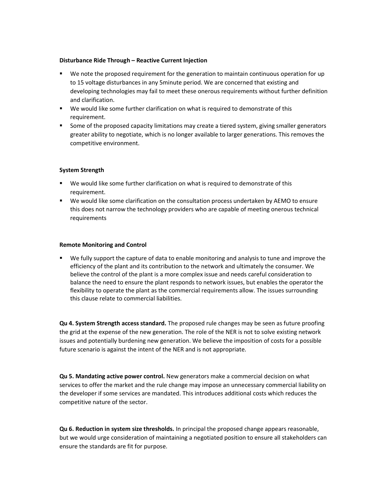# Disturbance Ride Through – Reactive Current Injection

- We note the proposed requirement for the generation to maintain continuous operation for up to 15 voltage disturbances in any 5minute period. We are concerned that existing and developing technologies may fail to meet these onerous requirements without further definition and clarification.
- We would like some further clarification on what is required to demonstrate of this requirement.
- **Some of the proposed capacity limitations may create a tiered system, giving smaller generators** greater ability to negotiate, which is no longer available to larger generations. This removes the competitive environment.

# System Strength

- We would like some further clarification on what is required to demonstrate of this requirement.
- We would like some clarification on the consultation process undertaken by AEMO to ensure this does not narrow the technology providers who are capable of meeting onerous technical requirements

#### Remote Monitoring and Control

 We fully support the capture of data to enable monitoring and analysis to tune and improve the efficiency of the plant and its contribution to the network and ultimately the consumer. We believe the control of the plant is a more complex issue and needs careful consideration to balance the need to ensure the plant responds to network issues, but enables the operator the flexibility to operate the plant as the commercial requirements allow. The issues surrounding this clause relate to commercial liabilities.

Qu 4. System Strength access standard. The proposed rule changes may be seen as future proofing the grid at the expense of the new generation. The role of the NER is not to solve existing network issues and potentially burdening new generation. We believe the imposition of costs for a possible future scenario is against the intent of the NER and is not appropriate.

Qu 5. Mandating active power control. New generators make a commercial decision on what services to offer the market and the rule change may impose an unnecessary commercial liability on the developer if some services are mandated. This introduces additional costs which reduces the competitive nature of the sector.

Qu 6. Reduction in system size thresholds. In principal the proposed change appears reasonable, but we would urge consideration of maintaining a negotiated position to ensure all stakeholders can ensure the standards are fit for purpose.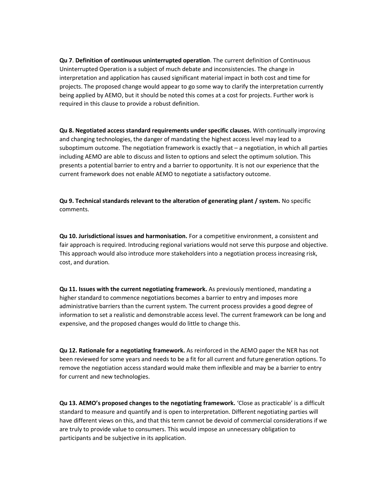Qu 7. Definition of continuous uninterrupted operation. The current definition of Continuous Uninterrupted Operation is a subject of much debate and inconsistencies. The change in interpretation and application has caused significant material impact in both cost and time for projects. The proposed change would appear to go some way to clarify the interpretation currently being applied by AEMO, but it should be noted this comes at a cost for projects. Further work is required in this clause to provide a robust definition.

Qu 8. Negotiated access standard requirements under specific clauses. With continually improving and changing technologies, the danger of mandating the highest access level may lead to a suboptimum outcome. The negotiation framework is exactly that – a negotiation, in which all parties including AEMO are able to discuss and listen to options and select the optimum solution. This presents a potential barrier to entry and a barrier to opportunity. It is not our experience that the current framework does not enable AEMO to negotiate a satisfactory outcome.

Qu 9. Technical standards relevant to the alteration of generating plant / system. No specific comments.

Qu 10. Jurisdictional issues and harmonisation. For a competitive environment, a consistent and fair approach is required. Introducing regional variations would not serve this purpose and objective. This approach would also introduce more stakeholders into a negotiation process increasing risk, cost, and duration.

Qu 11. Issues with the current negotiating framework. As previously mentioned, mandating a higher standard to commence negotiations becomes a barrier to entry and imposes more administrative barriers than the current system. The current process provides a good degree of information to set a realistic and demonstrable access level. The current framework can be long and expensive, and the proposed changes would do little to change this.

Qu 12. Rationale for a negotiating framework. As reinforced in the AEMO paper the NER has not been reviewed for some years and needs to be a fit for all current and future generation options. To remove the negotiation access standard would make them inflexible and may be a barrier to entry for current and new technologies.

Qu 13. AEMO's proposed changes to the negotiating framework. 'Close as practicable' is a difficult standard to measure and quantify and is open to interpretation. Different negotiating parties will have different views on this, and that this term cannot be devoid of commercial considerations if we are truly to provide value to consumers. This would impose an unnecessary obligation to participants and be subjective in its application.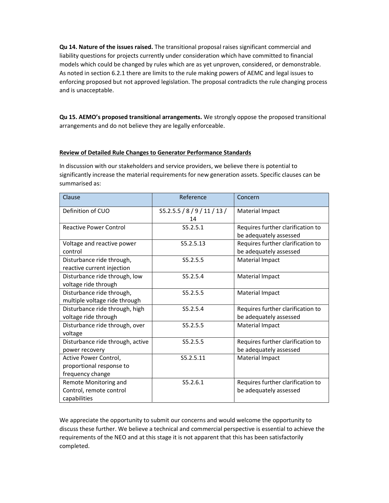Qu 14. Nature of the issues raised. The transitional proposal raises significant commercial and liability questions for projects currently under consideration which have committed to financial models which could be changed by rules which are as yet unproven, considered, or demonstrable. As noted in section 6.2.1 there are limits to the rule making powers of AEMC and legal issues to enforcing proposed but not approved legislation. The proposal contradicts the rule changing process and is unacceptable.

Qu 15. AEMO's proposed transitional arrangements. We strongly oppose the proposed transitional arrangements and do not believe they are legally enforceable.

# Review of Detailed Rule Changes to Generator Performance Standards

In discussion with our stakeholders and service providers, we believe there is potential to significantly increase the material requirements for new generation assets. Specific clauses can be summarised as:

| Clause                                                                | Reference                          | Concern                                                     |
|-----------------------------------------------------------------------|------------------------------------|-------------------------------------------------------------|
| Definition of CUO                                                     | S5.2.5.5 / 8 / 9 / 11 / 13 /<br>14 | Material Impact                                             |
| <b>Reactive Power Control</b>                                         | S5.2.5.1                           | Requires further clarification to<br>be adequately assessed |
| Voltage and reactive power<br>control                                 | S5.2.5.13                          | Requires further clarification to<br>be adequately assessed |
| Disturbance ride through,<br>reactive current injection               | S5.2.5.5                           | Material Impact                                             |
| Disturbance ride through, low<br>voltage ride through                 | S5.2.5.4                           | Material Impact                                             |
| Disturbance ride through,<br>multiple voltage ride through            | S5.2.5.5                           | Material Impact                                             |
| Disturbance ride through, high<br>voltage ride through                | S5.2.5.4                           | Requires further clarification to<br>be adequately assessed |
| Disturbance ride through, over<br>voltage                             | S5.2.5.5                           | Material Impact                                             |
| Disturbance ride through, active<br>power recovery                    | S5.2.5.5                           | Requires further clarification to<br>be adequately assessed |
| Active Power Control,<br>proportional response to<br>frequency change | S5.2.5.11                          | Material Impact                                             |
| Remote Monitoring and<br>Control, remote control<br>capabilities      | S5.2.6.1                           | Requires further clarification to<br>be adequately assessed |

We appreciate the opportunity to submit our concerns and would welcome the opportunity to discuss these further. We believe a technical and commercial perspective is essential to achieve the requirements of the NEO and at this stage it is not apparent that this has been satisfactorily completed.